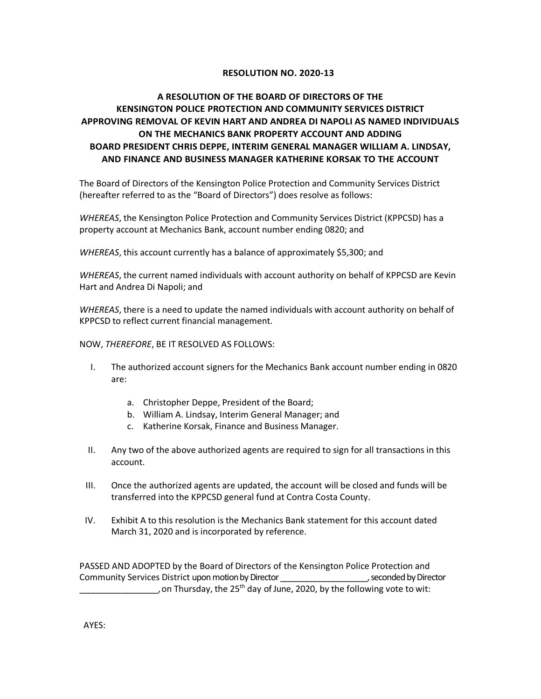## **RESOLUTION NO. 2020-13**

## **A RESOLUTION OF THE BOARD OF DIRECTORS OF THE KENSINGTON POLICE PROTECTION AND COMMUNITY SERVICES DISTRICT APPROVING REMOVAL OF KEVIN HART AND ANDREA DI NAPOLI AS NAMED INDIVIDUALS ON THE MECHANICS BANK PROPERTY ACCOUNT AND ADDING BOARD PRESIDENT CHRIS DEPPE, INTERIM GENERAL MANAGER WILLIAM A. LINDSAY, AND FINANCE AND BUSINESS MANAGER KATHERINE KORSAK TO THE ACCOUNT**

The Board of Directors of the Kensington Police Protection and Community Services District (hereafter referred to as the "Board of Directors") does resolve as follows:

*WHEREAS*, the Kensington Police Protection and Community Services District (KPPCSD) has a property account at Mechanics Bank, account number ending 0820; and

*WHEREAS*, this account currently has a balance of approximately \$5,300; and

*WHEREAS*, the current named individuals with account authority on behalf of KPPCSD are Kevin Hart and Andrea Di Napoli; and

*WHEREAS*, there is a need to update the named individuals with account authority on behalf of KPPCSD to reflect current financial management.

NOW, *THEREFORE*, BE IT RESOLVED AS FOLLOWS:

- I. The authorized account signers for the Mechanics Bank account number ending in 0820 are:
	- a. Christopher Deppe, President of the Board;
	- b. William A. Lindsay, Interim General Manager; and
	- c. Katherine Korsak, Finance and Business Manager.
- II. Any two of the above authorized agents are required to sign for all transactions in this account.
- III. Once the authorized agents are updated, the account will be closed and funds will be transferred into the KPPCSD general fund at Contra Costa County.
- IV. Exhibit A to this resolution is the Mechanics Bank statement for this account dated March 31, 2020 and is incorporated by reference.

PASSED AND ADOPTED by the Board of Directors of the Kensington Police Protection and Community Services District upon motion by Director \_\_\_\_\_\_\_\_\_\_\_\_\_\_\_\_\_\_\_\_, seconded by Director , on Thursday, the 25<sup>th</sup> day of June, 2020, by the following vote to wit: